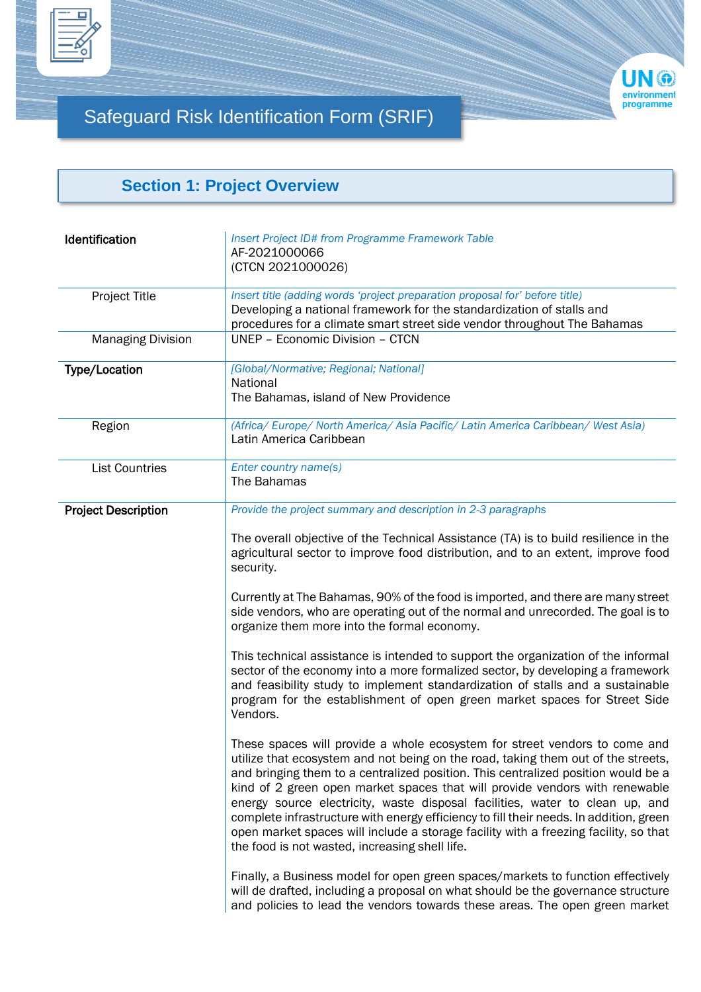



## Safeguard Risk Identification Form (SRIF)

## **Section 1: Project Overview**

| Identification             | Insert Project ID# from Programme Framework Table<br>AF-2021000066<br>(CTCN 2021000026)                                                                                                                                                                                                                                                                                                                                                                                                                                                                                                                                                                 |
|----------------------------|---------------------------------------------------------------------------------------------------------------------------------------------------------------------------------------------------------------------------------------------------------------------------------------------------------------------------------------------------------------------------------------------------------------------------------------------------------------------------------------------------------------------------------------------------------------------------------------------------------------------------------------------------------|
| <b>Project Title</b>       | Insert title (adding words 'project preparation proposal for' before title)<br>Developing a national framework for the standardization of stalls and<br>procedures for a climate smart street side vendor throughout The Bahamas                                                                                                                                                                                                                                                                                                                                                                                                                        |
| <b>Managing Division</b>   | UNEP - Economic Division - CTCN                                                                                                                                                                                                                                                                                                                                                                                                                                                                                                                                                                                                                         |
| Type/Location              | [Global/Normative; Regional; National]<br>National<br>The Bahamas, island of New Providence                                                                                                                                                                                                                                                                                                                                                                                                                                                                                                                                                             |
| Region                     | (Africa/ Europe/ North America/ Asia Pacific/ Latin America Caribbean/ West Asia)<br>Latin America Caribbean                                                                                                                                                                                                                                                                                                                                                                                                                                                                                                                                            |
| <b>List Countries</b>      | Enter country name(s)<br>The Bahamas                                                                                                                                                                                                                                                                                                                                                                                                                                                                                                                                                                                                                    |
| <b>Project Description</b> | Provide the project summary and description in 2-3 paragraphs                                                                                                                                                                                                                                                                                                                                                                                                                                                                                                                                                                                           |
|                            | The overall objective of the Technical Assistance (TA) is to build resilience in the<br>agricultural sector to improve food distribution, and to an extent, improve food<br>security.                                                                                                                                                                                                                                                                                                                                                                                                                                                                   |
|                            | Currently at The Bahamas, 90% of the food is imported, and there are many street<br>side vendors, who are operating out of the normal and unrecorded. The goal is to<br>organize them more into the formal economy.                                                                                                                                                                                                                                                                                                                                                                                                                                     |
|                            | This technical assistance is intended to support the organization of the informal<br>sector of the economy into a more formalized sector, by developing a framework<br>and feasibility study to implement standardization of stalls and a sustainable<br>program for the establishment of open green market spaces for Street Side<br>Vendors.                                                                                                                                                                                                                                                                                                          |
|                            | These spaces will provide a whole ecosystem for street vendors to come and<br>utilize that ecosystem and not being on the road, taking them out of the streets,<br>and bringing them to a centralized position. This centralized position would be a<br>kind of 2 green open market spaces that will provide vendors with renewable<br>energy source electricity, waste disposal facilities, water to clean up, and<br>complete infrastructure with energy efficiency to fill their needs. In addition, green<br>open market spaces will include a storage facility with a freezing facility, so that<br>the food is not wasted, increasing shell life. |
|                            | Finally, a Business model for open green spaces/markets to function effectively<br>will de drafted, including a proposal on what should be the governance structure<br>and policies to lead the vendors towards these areas. The open green market                                                                                                                                                                                                                                                                                                                                                                                                      |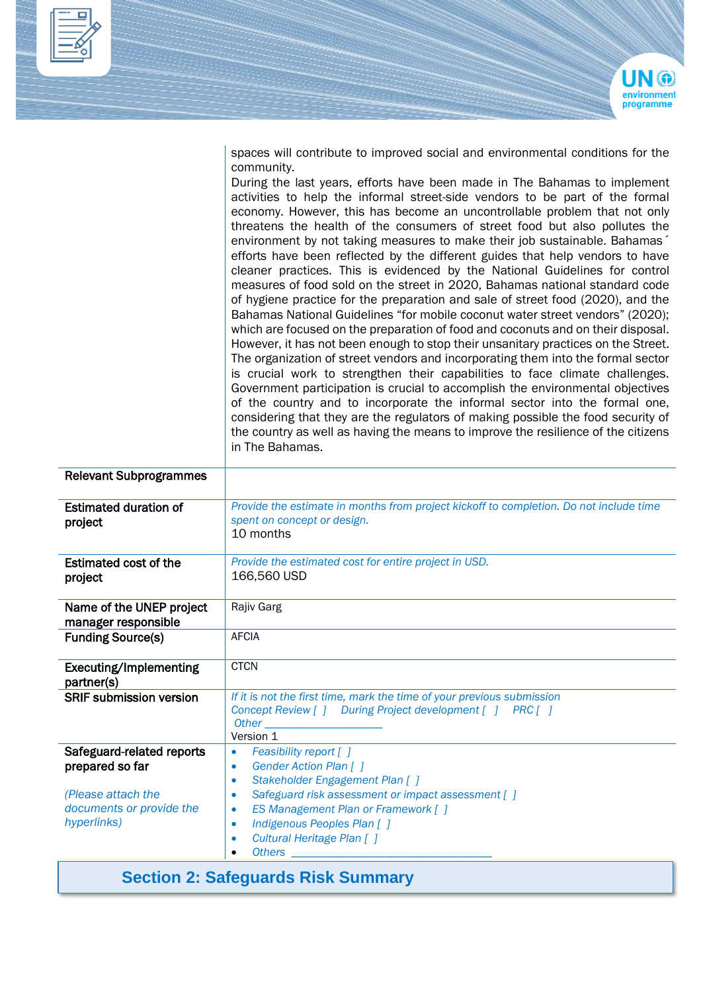

spaces will contribute to improved social and environmental conditions for the community.

During the last years, efforts have been made in The Bahamas to implement activities to help the informal street-side vendors to be part of the formal economy. However, this has become an uncontrollable problem that not only threatens the health of the consumers of street food but also pollutes the environment by not taking measures to make their job sustainable. Bahamas´ efforts have been reflected by the different guides that help vendors to have cleaner practices. This is evidenced by the National Guidelines for control measures of food sold on the street in 2020, Bahamas national standard code of hygiene practice for the preparation and sale of street food (2020), and the Bahamas National Guidelines "for mobile coconut water street vendors" (2020); which are focused on the preparation of food and coconuts and on their disposal. However, it has not been enough to stop their unsanitary practices on the Street. The organization of street vendors and incorporating them into the formal sector is crucial work to strengthen their capabilities to face climate challenges. Government participation is crucial to accomplish the environmental objectives of the country and to incorporate the informal sector into the formal one, considering that they are the regulators of making possible the food security of the country as well as having the means to improve the resilience of the citizens in The Bahamas.

| Provide the estimate in months from project kickoff to completion. Do not include time<br>spent on concept or design.<br>10 months                                                                                                                                                                                                                                                                                                                                                                                                                                    |
|-----------------------------------------------------------------------------------------------------------------------------------------------------------------------------------------------------------------------------------------------------------------------------------------------------------------------------------------------------------------------------------------------------------------------------------------------------------------------------------------------------------------------------------------------------------------------|
| Provide the estimated cost for entire project in USD.<br>166,560 USD                                                                                                                                                                                                                                                                                                                                                                                                                                                                                                  |
| Rajiv Garg                                                                                                                                                                                                                                                                                                                                                                                                                                                                                                                                                            |
| <b>AFCIA</b>                                                                                                                                                                                                                                                                                                                                                                                                                                                                                                                                                          |
| <b>CTCN</b>                                                                                                                                                                                                                                                                                                                                                                                                                                                                                                                                                           |
| If it is not the first time, mark the time of your previous submission<br>Concept Review [ ] During Project development [ ] PRC [ ]<br>Other the contract of the contract of the contract of the contract of the contract of the contract of the contract of the contract of the contract of the contract of the contract of the contract of the contract of the cont<br>Version 1                                                                                                                                                                                    |
| Feasibility report [ ]<br>$\bullet$<br>Gender Action Plan [ ]<br>$\bullet$<br>Stakeholder Engagement Plan [ ]<br>$\bullet$<br>Safeguard risk assessment or impact assessment [ ]<br>۰<br>ES Management Plan or Framework [ ]<br>$\bullet$<br>Indigenous Peoples Plan []<br>$\bullet$<br>Cultural Heritage Plan [ ]<br>$\bullet$<br><b>Others Contract Contract Contract Contract Contract Contract Contract Contract Contract Contract Contract Contract Contract Contract Contract Contract Contract Contract Contract Contract Contract Contract Contract Contr</b> |
|                                                                                                                                                                                                                                                                                                                                                                                                                                                                                                                                                                       |

#### **Section 2: Safeguards Risk Summary**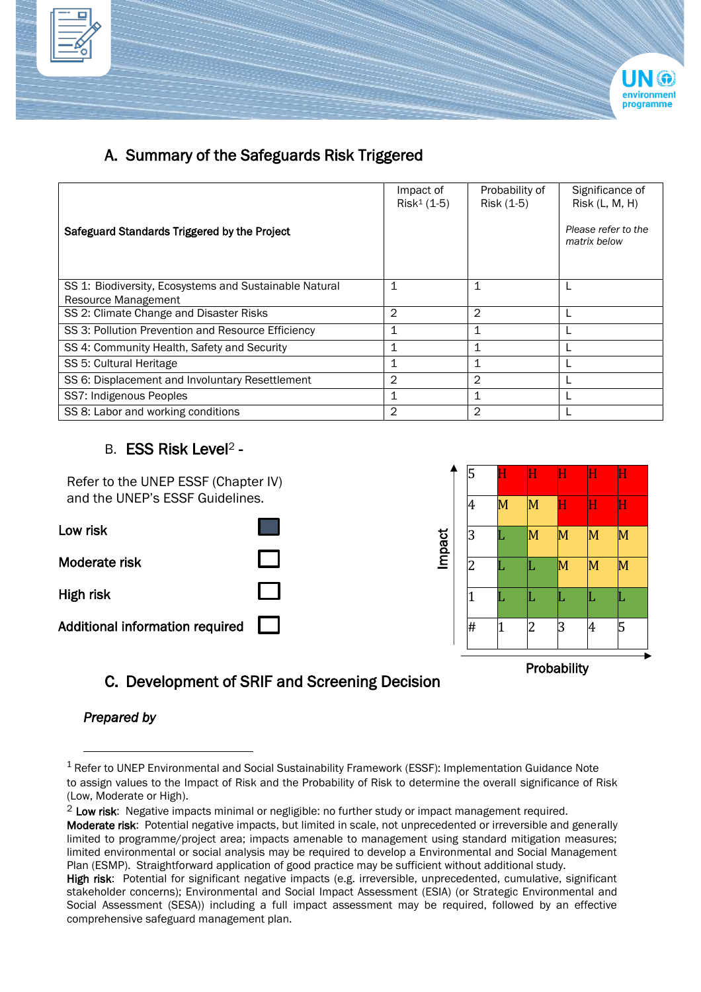



### A. Summary of the Safeguards Risk Triggered

|                                                                               | Impact of<br>$Risk1 (1-5)$ | Probability of<br>Risk (1-5) | Significance of<br>Risk (L, M, H)   |
|-------------------------------------------------------------------------------|----------------------------|------------------------------|-------------------------------------|
| Safeguard Standards Triggered by the Project                                  |                            |                              | Please refer to the<br>matrix below |
| SS 1: Biodiversity, Ecosystems and Sustainable Natural<br>Resource Management | 1                          | 1                            |                                     |
| SS 2: Climate Change and Disaster Risks                                       | $\overline{2}$             | $\overline{2}$               |                                     |
| SS 3: Pollution Prevention and Resource Efficiency                            | 1                          | 1                            |                                     |
| SS 4: Community Health, Safety and Security                                   | 1                          | 1                            |                                     |
| SS 5: Cultural Heritage                                                       | 1                          | 1                            |                                     |
| SS 6: Displacement and Involuntary Resettlement                               | 2                          | $\overline{2}$               |                                     |
| SS7: Indigenous Peoples                                                       | 1                          | 1                            |                                     |
| SS 8: Labor and working conditions                                            | 2                          | $\overline{2}$               |                                     |

#### B. ESS Risk Level<sup>2</sup> -



C. Development of SRIF and Screening Decision

*Prepared by*

<sup>&</sup>lt;sup>1</sup> Refer to UNEP Environmental and Social Sustainability Framework (ESSF): Implementation Guidance Note to assign values to the Impact of Risk and the Probability of Risk to determine the overall significance of Risk (Low, Moderate or High).

<sup>&</sup>lt;sup>2</sup> Low risk: Negative impacts minimal or negligible: no further study or impact management required.

Moderate risk: Potential negative impacts, but limited in scale, not unprecedented or irreversible and generally limited to programme/project area; impacts amenable to management using standard mitigation measures; limited environmental or social analysis may be required to develop a Environmental and Social Management Plan (ESMP). Straightforward application of good practice may be sufficient without additional study.

High risk: Potential for significant negative impacts (e.g. irreversible, unprecedented, cumulative, significant stakeholder concerns); Environmental and Social Impact Assessment (ESIA) (or Strategic Environmental and Social Assessment (SESA)) including a full impact assessment may be required, followed by an effective comprehensive safeguard management plan.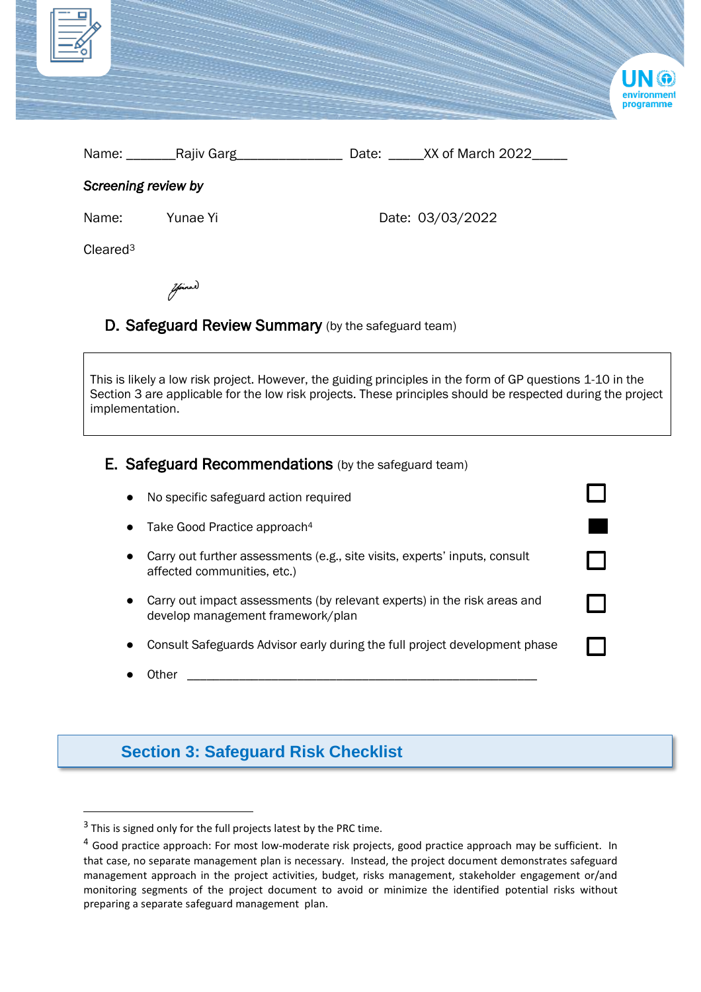| $\equiv$ Z           |          |                        | UN ®<br>environment<br>programme |
|----------------------|----------|------------------------|----------------------------------|
|                      |          | Date: XX of March 2022 |                                  |
| Screening review by  |          |                        |                                  |
| Name:                | Yunae Yi | Date: 03/03/2022       |                                  |
| Cleared <sup>3</sup> |          |                        |                                  |

# final

#### D. Safeguard Review Summary (by the safeguard team)

This is likely a low risk project. However, the guiding principles in the form of GP questions 1-10 in the Section 3 are applicable for the low risk projects. These principles should be respected during the project implementation.

#### E. Safeguard Recommendations (by the safeguard team)

| $\bullet$ | No specific safeguard action required                                                                         |  |
|-----------|---------------------------------------------------------------------------------------------------------------|--|
|           | Take Good Practice approach <sup>4</sup>                                                                      |  |
|           | Carry out further assessments (e.g., site visits, experts' inputs, consult<br>affected communities, etc.)     |  |
|           | Carry out impact assessments (by relevant experts) in the risk areas and<br>develop management framework/plan |  |
|           | Consult Safeguards Advisor early during the full project development phase                                    |  |

 $\bullet$  Other  $\_$ 

## **Section 3: Safeguard Risk Checklist**

 $3$  This is signed only for the full projects latest by the PRC time.

<sup>&</sup>lt;sup>4</sup> Good practice approach: For most low-moderate risk projects, good practice approach may be sufficient. In that case, no separate management plan is necessary. Instead, the project document demonstrates safeguard management approach in the project activities, budget, risks management, stakeholder engagement or/and monitoring segments of the project document to avoid or minimize the identified potential risks without preparing a separate safeguard management plan.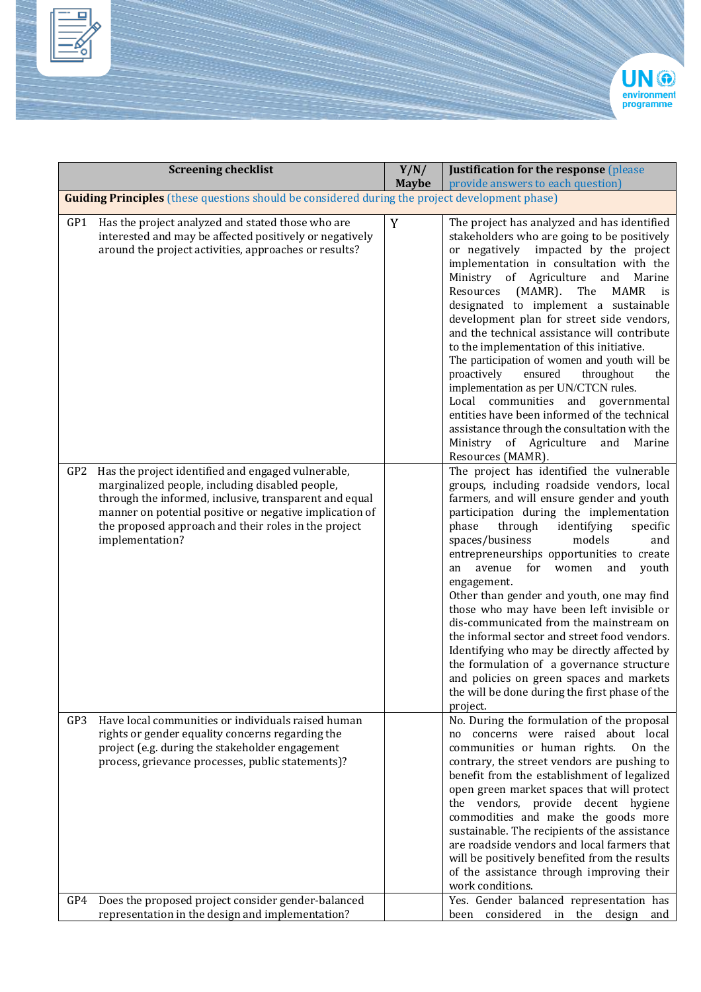



|            | <b>Screening checklist</b>                                                                                                                                                                                                                                                                            | Y/N/<br><b>Maybe</b> | <b>Justification for the response</b> (please<br>provide answers to each question)                                                                                                                                                                                                                                                                                                                                                                                                                                                                                                                                                                                                                                                                                                                                 |
|------------|-------------------------------------------------------------------------------------------------------------------------------------------------------------------------------------------------------------------------------------------------------------------------------------------------------|----------------------|--------------------------------------------------------------------------------------------------------------------------------------------------------------------------------------------------------------------------------------------------------------------------------------------------------------------------------------------------------------------------------------------------------------------------------------------------------------------------------------------------------------------------------------------------------------------------------------------------------------------------------------------------------------------------------------------------------------------------------------------------------------------------------------------------------------------|
|            | <b>Guiding Principles</b> (these questions should be considered during the project development phase)                                                                                                                                                                                                 |                      |                                                                                                                                                                                                                                                                                                                                                                                                                                                                                                                                                                                                                                                                                                                                                                                                                    |
| GP1        | Has the project analyzed and stated those who are<br>interested and may be affected positively or negatively<br>around the project activities, approaches or results?                                                                                                                                 | Y                    | The project has analyzed and has identified<br>stakeholders who are going to be positively<br>or negatively impacted by the project<br>implementation in consultation with the<br>Ministry of Agriculture<br>and<br>Marine<br>Resources<br>$(MAMR)$ .<br><b>MAMR</b><br>The<br>is<br>designated to implement a sustainable<br>development plan for street side vendors,<br>and the technical assistance will contribute<br>to the implementation of this initiative.<br>The participation of women and youth will be<br>proactively<br>ensured<br>throughout<br>the<br>implementation as per UN/CTCN rules.<br>Local communities and governmental<br>entities have been informed of the technical<br>assistance through the consultation with the<br>Ministry of Agriculture<br>Marine<br>and<br>Resources (MAMR). |
| GP2        | Has the project identified and engaged vulnerable,<br>marginalized people, including disabled people,<br>through the informed, inclusive, transparent and equal<br>manner on potential positive or negative implication of<br>the proposed approach and their roles in the project<br>implementation? |                      | The project has identified the vulnerable<br>groups, including roadside vendors, local<br>farmers, and will ensure gender and youth<br>participation during the implementation<br>through<br>identifying<br>phase<br>specific<br>spaces/business<br>models<br>and<br>entrepreneurships opportunities to create<br>avenue<br>for<br>women<br>and<br>youth<br>an<br>engagement.<br>Other than gender and youth, one may find<br>those who may have been left invisible or<br>dis-communicated from the mainstream on<br>the informal sector and street food vendors.<br>Identifying who may be directly affected by<br>the formulation of a governance structure<br>and policies on green spaces and markets<br>the will be done during the first phase of the<br>project.                                           |
| GP3<br>GP4 | Have local communities or individuals raised human<br>rights or gender equality concerns regarding the<br>project (e.g. during the stakeholder engagement<br>process, grievance processes, public statements)?<br>Does the proposed project consider gender-balanced                                  |                      | No. During the formulation of the proposal<br>no concerns were raised about local<br>communities or human rights.<br>On the<br>contrary, the street vendors are pushing to<br>benefit from the establishment of legalized<br>open green market spaces that will protect<br>the vendors, provide decent hygiene<br>commodities and make the goods more<br>sustainable. The recipients of the assistance<br>are roadside vendors and local farmers that<br>will be positively benefited from the results<br>of the assistance through improving their<br>work conditions.<br>Yes. Gender balanced representation has                                                                                                                                                                                                 |
|            | representation in the design and implementation?                                                                                                                                                                                                                                                      |                      | been considered in the design and                                                                                                                                                                                                                                                                                                                                                                                                                                                                                                                                                                                                                                                                                                                                                                                  |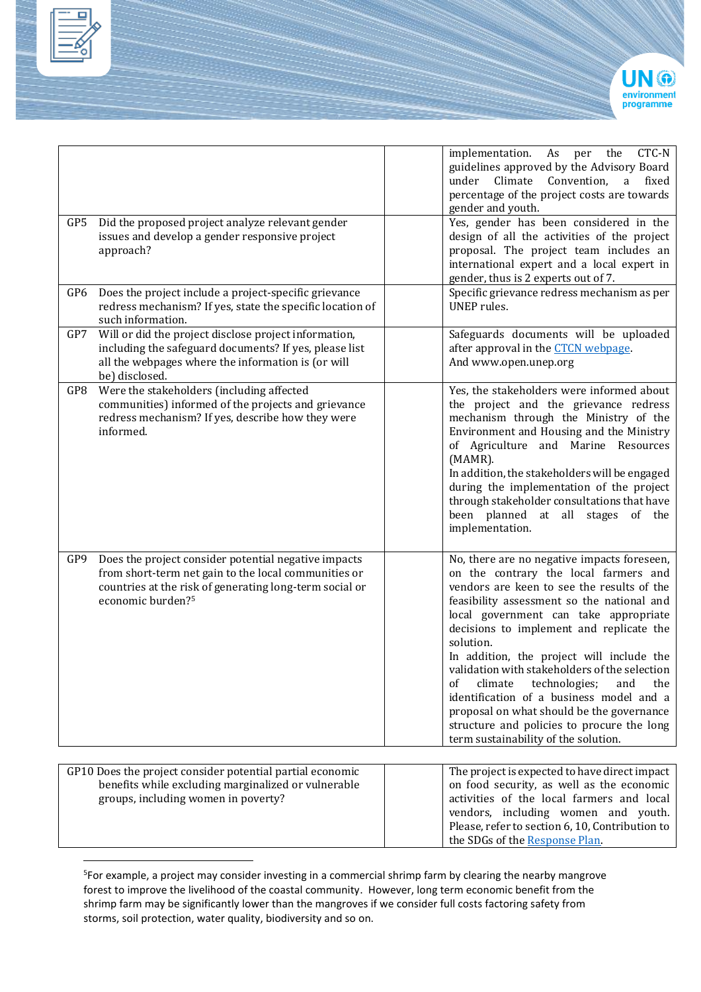



| GP5 | Did the proposed project analyze relevant gender                                                                                                                                                         | implementation.<br>Climate<br>under<br>gender and youth.                      | CTC-N<br>As<br>the<br>per<br>guidelines approved by the Advisory Board<br>Convention,<br>fixed<br>a<br>percentage of the project costs are towards<br>Yes, gender has been considered in the                                                                                                                                                                                                                                                                                                                                              |
|-----|----------------------------------------------------------------------------------------------------------------------------------------------------------------------------------------------------------|-------------------------------------------------------------------------------|-------------------------------------------------------------------------------------------------------------------------------------------------------------------------------------------------------------------------------------------------------------------------------------------------------------------------------------------------------------------------------------------------------------------------------------------------------------------------------------------------------------------------------------------|
|     | issues and develop a gender responsive project<br>approach?                                                                                                                                              | gender, thus is 2 experts out of 7.                                           | design of all the activities of the project<br>proposal. The project team includes an<br>international expert and a local expert in                                                                                                                                                                                                                                                                                                                                                                                                       |
| GP6 | Does the project include a project-specific grievance<br>redress mechanism? If yes, state the specific location of<br>such information.                                                                  | UNEP rules.                                                                   | Specific grievance redress mechanism as per                                                                                                                                                                                                                                                                                                                                                                                                                                                                                               |
| GP7 | Will or did the project disclose project information,<br>including the safeguard documents? If yes, please list<br>all the webpages where the information is (or will<br>be) disclosed.                  | after approval in the <b>CTCN</b> webpage.<br>And www.open.unep.org           | Safeguards documents will be uploaded                                                                                                                                                                                                                                                                                                                                                                                                                                                                                                     |
| GP8 | Were the stakeholders (including affected<br>communities) informed of the projects and grievance<br>redress mechanism? If yes, describe how they were<br>informed.                                       | (MAMR).<br>implementation.                                                    | Yes, the stakeholders were informed about<br>the project and the grievance redress<br>mechanism through the Ministry of the<br>Environment and Housing and the Ministry<br>of Agriculture and Marine Resources<br>In addition, the stakeholders will be engaged<br>during the implementation of the project<br>through stakeholder consultations that have<br>been planned at all stages of the                                                                                                                                           |
| GP9 | Does the project consider potential negative impacts<br>from short-term net gain to the local communities or<br>countries at the risk of generating long-term social or<br>economic burden? <sup>5</sup> | solution.<br>climate<br><sub>of</sub><br>term sustainability of the solution. | No, there are no negative impacts foreseen,<br>on the contrary the local farmers and<br>vendors are keen to see the results of the<br>feasibility assessment so the national and<br>local government can take appropriate<br>decisions to implement and replicate the<br>In addition, the project will include the<br>validation with stakeholders of the selection<br>technologies;<br>and<br>the<br>identification of a business model and a<br>proposal on what should be the governance<br>structure and policies to procure the long |
|     | GP10 Does the project consider potential partial economic<br>benefits while excluding marginalized or vulnerable<br>groups, including women in poverty?                                                  | the SDGs of the Response Plan.                                                | The project is expected to have direct impact<br>on food security, as well as the economic<br>activities of the local farmers and local<br>vendors, including women and youth.<br>Please, refer to section 6, 10, Contribution to                                                                                                                                                                                                                                                                                                         |

5 For example, a project may consider investing in a commercial shrimp farm by clearing the nearby mangrove forest to improve the livelihood of the coastal community. However, long term economic benefit from the shrimp farm may be significantly lower than the mangroves if we consider full costs factoring safety from storms, soil protection, water quality, biodiversity and so on.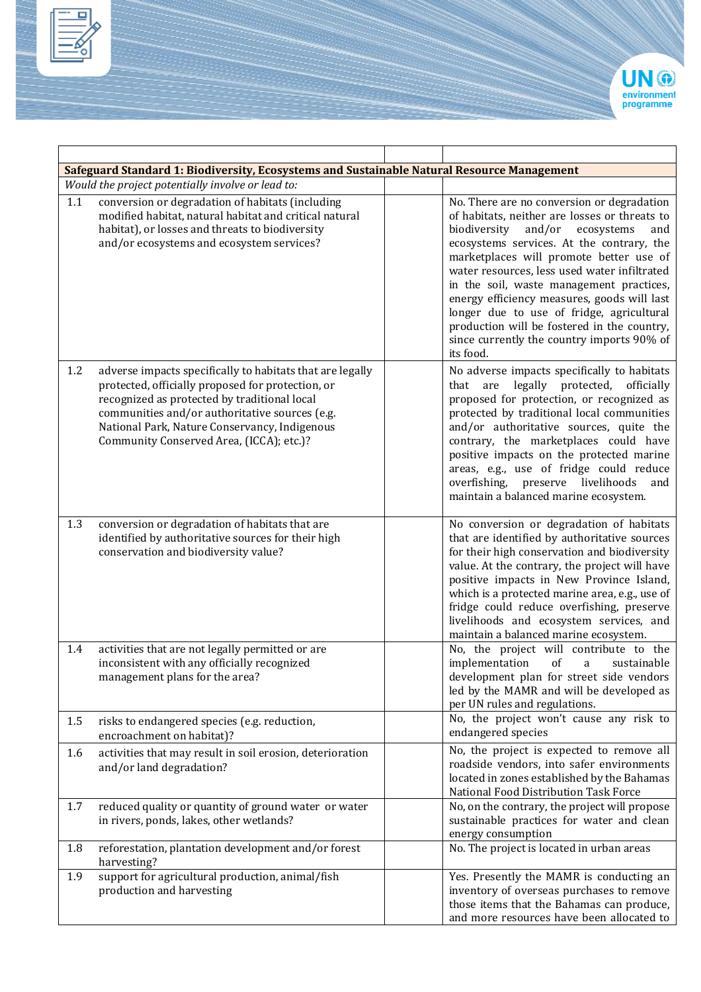



| Safeguard Standard 1: Biodiversity, Ecosystems and Sustainable Natural Resource Management |                                                                                                                                                                                                                                                                                                               |                                                                                                                                                                                                                                                                                                                                                                                                                                                                                                                                      |  |  |
|--------------------------------------------------------------------------------------------|---------------------------------------------------------------------------------------------------------------------------------------------------------------------------------------------------------------------------------------------------------------------------------------------------------------|--------------------------------------------------------------------------------------------------------------------------------------------------------------------------------------------------------------------------------------------------------------------------------------------------------------------------------------------------------------------------------------------------------------------------------------------------------------------------------------------------------------------------------------|--|--|
|                                                                                            | Would the project potentially involve or lead to:                                                                                                                                                                                                                                                             |                                                                                                                                                                                                                                                                                                                                                                                                                                                                                                                                      |  |  |
| 1.1                                                                                        | conversion or degradation of habitats (including<br>modified habitat, natural habitat and critical natural<br>habitat), or losses and threats to biodiversity<br>and/or ecosystems and ecosystem services?                                                                                                    | No. There are no conversion or degradation<br>of habitats, neither are losses or threats to<br>biodiversity<br>and/or<br>ecosystems<br>and<br>ecosystems services. At the contrary, the<br>marketplaces will promote better use of<br>water resources, less used water infiltrated<br>in the soil, waste management practices,<br>energy efficiency measures, goods will last<br>longer due to use of fridge, agricultural<br>production will be fostered in the country,<br>since currently the country imports 90% of<br>its food. |  |  |
| 1.2                                                                                        | adverse impacts specifically to habitats that are legally<br>protected, officially proposed for protection, or<br>recognized as protected by traditional local<br>communities and/or authoritative sources (e.g.<br>National Park, Nature Conservancy, Indigenous<br>Community Conserved Area, (ICCA); etc.)? | No adverse impacts specifically to habitats<br>that are legally protected, officially<br>proposed for protection, or recognized as<br>protected by traditional local communities<br>and/or authoritative sources, quite the<br>contrary, the marketplaces could have<br>positive impacts on the protected marine<br>areas, e.g., use of fridge could reduce<br>overfishing, preserve livelihoods<br>and<br>maintain a balanced marine ecosystem.                                                                                     |  |  |
| 1.3                                                                                        | conversion or degradation of habitats that are<br>identified by authoritative sources for their high<br>conservation and biodiversity value?                                                                                                                                                                  | No conversion or degradation of habitats<br>that are identified by authoritative sources<br>for their high conservation and biodiversity<br>value. At the contrary, the project will have<br>positive impacts in New Province Island,<br>which is a protected marine area, e.g., use of<br>fridge could reduce overfishing, preserve<br>livelihoods and ecosystem services, and<br>maintain a balanced marine ecosystem.                                                                                                             |  |  |
| 1.4                                                                                        | activities that are not legally permitted or are<br>inconsistent with any officially recognized<br>management plans for the area?                                                                                                                                                                             | No, the project will contribute to the<br>implementation<br>of<br>sustainable<br>a<br>development plan for street side vendors<br>led by the MAMR and will be developed as<br>per UN rules and regulations.                                                                                                                                                                                                                                                                                                                          |  |  |
| 1.5                                                                                        | risks to endangered species (e.g. reduction,<br>encroachment on habitat)?                                                                                                                                                                                                                                     | No, the project won't cause any risk to<br>endangered species                                                                                                                                                                                                                                                                                                                                                                                                                                                                        |  |  |
| 1.6                                                                                        | activities that may result in soil erosion, deterioration<br>and/or land degradation?                                                                                                                                                                                                                         | No, the project is expected to remove all<br>roadside vendors, into safer environments<br>located in zones established by the Bahamas<br>National Food Distribution Task Force                                                                                                                                                                                                                                                                                                                                                       |  |  |
| 1.7                                                                                        | reduced quality or quantity of ground water or water<br>in rivers, ponds, lakes, other wetlands?                                                                                                                                                                                                              | No, on the contrary, the project will propose<br>sustainable practices for water and clean<br>energy consumption                                                                                                                                                                                                                                                                                                                                                                                                                     |  |  |
| 1.8                                                                                        | reforestation, plantation development and/or forest<br>harvesting?                                                                                                                                                                                                                                            | No. The project is located in urban areas                                                                                                                                                                                                                                                                                                                                                                                                                                                                                            |  |  |
| 1.9                                                                                        | support for agricultural production, animal/fish<br>production and harvesting                                                                                                                                                                                                                                 | Yes. Presently the MAMR is conducting an<br>inventory of overseas purchases to remove<br>those items that the Bahamas can produce,<br>and more resources have been allocated to                                                                                                                                                                                                                                                                                                                                                      |  |  |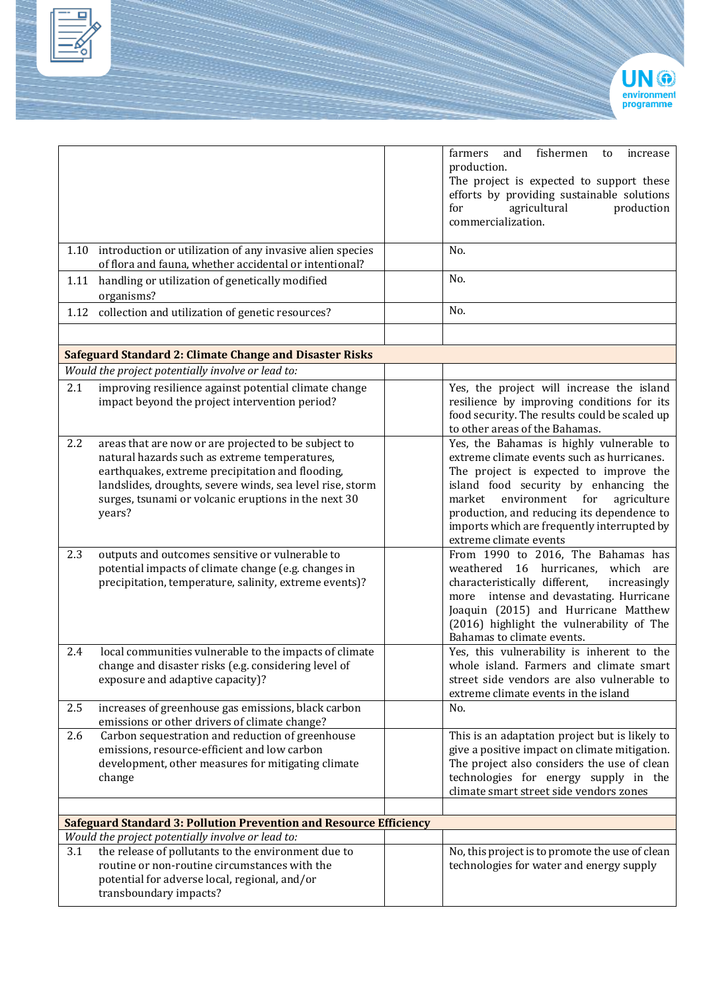

|                                                   |                                                                                                                                                                                                                                                                                | fishermen<br>and<br>farmers<br>increase<br>to<br>production.<br>The project is expected to support these<br>efforts by providing sustainable solutions<br>agricultural<br>for<br>production<br>commercialization.                                                                                                                         |
|---------------------------------------------------|--------------------------------------------------------------------------------------------------------------------------------------------------------------------------------------------------------------------------------------------------------------------------------|-------------------------------------------------------------------------------------------------------------------------------------------------------------------------------------------------------------------------------------------------------------------------------------------------------------------------------------------|
|                                                   | 1.10 introduction or utilization of any invasive alien species<br>of flora and fauna, whether accidental or intentional?                                                                                                                                                       | No.                                                                                                                                                                                                                                                                                                                                       |
| 1.11<br>organisms?                                | handling or utilization of genetically modified                                                                                                                                                                                                                                | No.                                                                                                                                                                                                                                                                                                                                       |
|                                                   | 1.12 collection and utilization of genetic resources?                                                                                                                                                                                                                          | No.                                                                                                                                                                                                                                                                                                                                       |
|                                                   |                                                                                                                                                                                                                                                                                |                                                                                                                                                                                                                                                                                                                                           |
| Would the project potentially involve or lead to: | <b>Safeguard Standard 2: Climate Change and Disaster Risks</b>                                                                                                                                                                                                                 |                                                                                                                                                                                                                                                                                                                                           |
| 2.1                                               | improving resilience against potential climate change<br>impact beyond the project intervention period?                                                                                                                                                                        | Yes, the project will increase the island<br>resilience by improving conditions for its<br>food security. The results could be scaled up<br>to other areas of the Bahamas.                                                                                                                                                                |
| 2.2<br>years?                                     | areas that are now or are projected to be subject to<br>natural hazards such as extreme temperatures,<br>earthquakes, extreme precipitation and flooding,<br>landslides, droughts, severe winds, sea level rise, storm<br>surges, tsunami or volcanic eruptions in the next 30 | Yes, the Bahamas is highly vulnerable to<br>extreme climate events such as hurricanes.<br>The project is expected to improve the<br>island food security by enhancing the<br>market environment for<br>agriculture<br>production, and reducing its dependence to<br>imports which are frequently interrupted by<br>extreme climate events |
| 2.3                                               | outputs and outcomes sensitive or vulnerable to<br>potential impacts of climate change (e.g. changes in<br>precipitation, temperature, salinity, extreme events)?                                                                                                              | From 1990 to 2016, The Bahamas has<br>weathered 16 hurricanes,<br>which<br>are<br>characteristically different,<br>increasingly<br>more intense and devastating. Hurricane<br>Joaquin (2015) and Hurricane Matthew<br>(2016) highlight the vulnerability of The<br>Bahamas to climate events.                                             |
| 2.4<br>exposure and adaptive capacity)?           | local communities vulnerable to the impacts of climate<br>change and disaster risks (e.g. considering level of                                                                                                                                                                 | Yes, this vulnerability is inherent to the<br>whole island. Farmers and climate smart<br>street side vendors are also vulnerable to<br>extreme climate events in the island                                                                                                                                                               |
| 2.5                                               | increases of greenhouse gas emissions, black carbon<br>emissions or other drivers of climate change?                                                                                                                                                                           | No.                                                                                                                                                                                                                                                                                                                                       |
| 2.6<br>change                                     | Carbon sequestration and reduction of greenhouse<br>emissions, resource-efficient and low carbon<br>development, other measures for mitigating climate                                                                                                                         | This is an adaptation project but is likely to<br>give a positive impact on climate mitigation.<br>The project also considers the use of clean<br>technologies for energy supply in the<br>climate smart street side vendors zones                                                                                                        |
|                                                   |                                                                                                                                                                                                                                                                                |                                                                                                                                                                                                                                                                                                                                           |
| Would the project potentially involve or lead to: | <b>Safeguard Standard 3: Pollution Prevention and Resource Efficiency</b>                                                                                                                                                                                                      |                                                                                                                                                                                                                                                                                                                                           |
| 3.1<br>transboundary impacts?                     | the release of pollutants to the environment due to<br>routine or non-routine circumstances with the<br>potential for adverse local, regional, and/or                                                                                                                          | No, this project is to promote the use of clean<br>technologies for water and energy supply                                                                                                                                                                                                                                               |

Е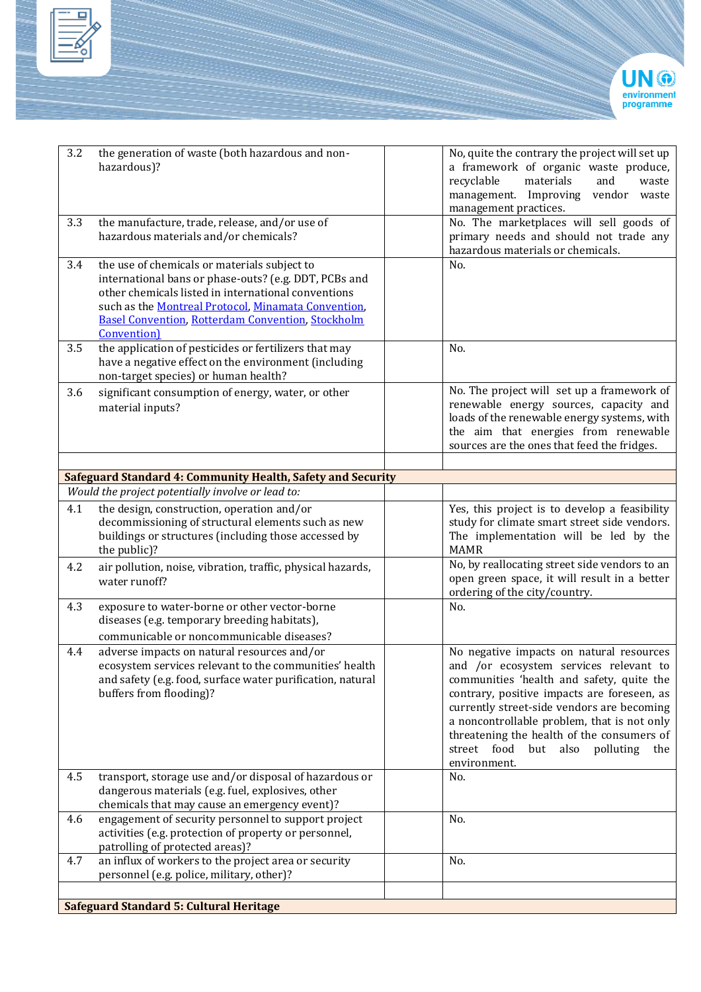



| 3.2 | the generation of waste (both hazardous and non-                                                                        | No, quite the contrary the project will set up                                                |
|-----|-------------------------------------------------------------------------------------------------------------------------|-----------------------------------------------------------------------------------------------|
|     | hazardous)?                                                                                                             | a framework of organic waste produce,                                                         |
|     |                                                                                                                         | materials<br>and<br>recyclable<br>waste                                                       |
|     |                                                                                                                         | management. Improving vendor waste                                                            |
|     |                                                                                                                         | management practices.                                                                         |
| 3.3 | the manufacture, trade, release, and/or use of                                                                          | No. The marketplaces will sell goods of                                                       |
|     | hazardous materials and/or chemicals?                                                                                   | primary needs and should not trade any                                                        |
|     |                                                                                                                         | hazardous materials or chemicals.                                                             |
| 3.4 | the use of chemicals or materials subject to                                                                            | No.                                                                                           |
|     | international bans or phase-outs? (e.g. DDT, PCBs and<br>other chemicals listed in international conventions            |                                                                                               |
|     | such as the Montreal Protocol, Minamata Convention,                                                                     |                                                                                               |
|     | <b>Basel Convention, Rotterdam Convention, Stockholm</b>                                                                |                                                                                               |
|     | Convention)                                                                                                             |                                                                                               |
| 3.5 | the application of pesticides or fertilizers that may                                                                   | No.                                                                                           |
|     | have a negative effect on the environment (including                                                                    |                                                                                               |
|     | non-target species) or human health?                                                                                    |                                                                                               |
| 3.6 | significant consumption of energy, water, or other                                                                      | No. The project will set up a framework of                                                    |
|     | material inputs?                                                                                                        | renewable energy sources, capacity and                                                        |
|     |                                                                                                                         | loads of the renewable energy systems, with                                                   |
|     |                                                                                                                         | the aim that energies from renewable                                                          |
|     |                                                                                                                         | sources are the ones that feed the fridges.                                                   |
|     |                                                                                                                         |                                                                                               |
|     | <b>Safeguard Standard 4: Community Health, Safety and Security</b><br>Would the project potentially involve or lead to: |                                                                                               |
|     |                                                                                                                         |                                                                                               |
| 4.1 | the design, construction, operation and/or<br>decommissioning of structural elements such as new                        | Yes, this project is to develop a feasibility<br>study for climate smart street side vendors. |
|     | buildings or structures (including those accessed by                                                                    | The implementation will be led by the                                                         |
|     | the public)?                                                                                                            | <b>MAMR</b>                                                                                   |
| 4.2 | air pollution, noise, vibration, traffic, physical hazards,                                                             | No, by reallocating street side vendors to an                                                 |
|     | water runoff?                                                                                                           | open green space, it will result in a better                                                  |
|     |                                                                                                                         | ordering of the city/country.                                                                 |
| 4.3 | exposure to water-borne or other vector-borne                                                                           | No.                                                                                           |
|     | diseases (e.g. temporary breeding habitats),                                                                            |                                                                                               |
|     | communicable or noncommunicable diseases?                                                                               |                                                                                               |
| 4.4 | adverse impacts on natural resources and/or                                                                             | No negative impacts on natural resources                                                      |
|     | ecosystem services relevant to the communities' health                                                                  | and /or ecosystem services relevant to                                                        |
|     | and safety (e.g. food, surface water purification, natural                                                              | communities 'health and safety, quite the                                                     |
|     | buffers from flooding)?                                                                                                 | contrary, positive impacts are foreseen, as                                                   |
|     |                                                                                                                         | currently street-side vendors are becoming                                                    |
|     |                                                                                                                         | a noncontrollable problem, that is not only                                                   |
|     |                                                                                                                         | threatening the health of the consumers of<br>street food<br>but also polluting<br>the        |
|     |                                                                                                                         | environment.                                                                                  |
| 4.5 | transport, storage use and/or disposal of hazardous or                                                                  | No.                                                                                           |
|     | dangerous materials (e.g. fuel, explosives, other                                                                       |                                                                                               |
|     | chemicals that may cause an emergency event)?                                                                           |                                                                                               |
| 4.6 | engagement of security personnel to support project                                                                     | No.                                                                                           |
|     | activities (e.g. protection of property or personnel,                                                                   |                                                                                               |
|     | patrolling of protected areas)?                                                                                         |                                                                                               |
| 4.7 | an influx of workers to the project area or security                                                                    | No.                                                                                           |
|     | personnel (e.g. police, military, other)?                                                                               |                                                                                               |
|     |                                                                                                                         |                                                                                               |
|     | <b>Safeguard Standard 5: Cultural Heritage</b>                                                                          |                                                                                               |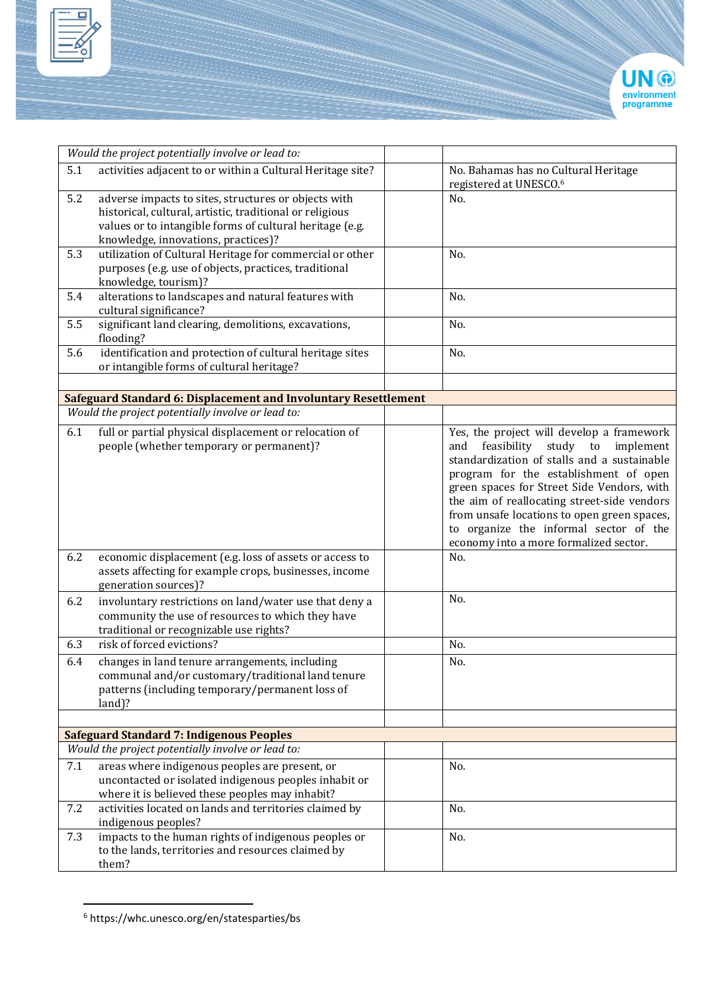



|     | Would the project potentially involve or lead to:                                                                                                                                                                   |                                                                                                                                                                                                                                                                                                                                                                                                            |
|-----|---------------------------------------------------------------------------------------------------------------------------------------------------------------------------------------------------------------------|------------------------------------------------------------------------------------------------------------------------------------------------------------------------------------------------------------------------------------------------------------------------------------------------------------------------------------------------------------------------------------------------------------|
| 5.1 | activities adjacent to or within a Cultural Heritage site?                                                                                                                                                          | No. Bahamas has no Cultural Heritage<br>registered at UNESCO. <sup>6</sup>                                                                                                                                                                                                                                                                                                                                 |
| 5.2 | adverse impacts to sites, structures or objects with<br>historical, cultural, artistic, traditional or religious<br>values or to intangible forms of cultural heritage (e.g.<br>knowledge, innovations, practices)? | No.                                                                                                                                                                                                                                                                                                                                                                                                        |
| 5.3 | utilization of Cultural Heritage for commercial or other<br>purposes (e.g. use of objects, practices, traditional<br>knowledge, tourism)?                                                                           | No.                                                                                                                                                                                                                                                                                                                                                                                                        |
| 5.4 | alterations to landscapes and natural features with<br>cultural significance?                                                                                                                                       | No.                                                                                                                                                                                                                                                                                                                                                                                                        |
| 5.5 | significant land clearing, demolitions, excavations,<br>flooding?                                                                                                                                                   | No.                                                                                                                                                                                                                                                                                                                                                                                                        |
| 5.6 | identification and protection of cultural heritage sites<br>or intangible forms of cultural heritage?                                                                                                               | No.                                                                                                                                                                                                                                                                                                                                                                                                        |
|     | <b>Safeguard Standard 6: Displacement and Involuntary Resettlement</b>                                                                                                                                              |                                                                                                                                                                                                                                                                                                                                                                                                            |
|     | Would the project potentially involve or lead to:                                                                                                                                                                   |                                                                                                                                                                                                                                                                                                                                                                                                            |
| 6.1 | full or partial physical displacement or relocation of<br>people (whether temporary or permanent)?                                                                                                                  | Yes, the project will develop a framework<br>feasibility study to implement<br>and<br>standardization of stalls and a sustainable<br>program for the establishment of open<br>green spaces for Street Side Vendors, with<br>the aim of reallocating street-side vendors<br>from unsafe locations to open green spaces,<br>to organize the informal sector of the<br>economy into a more formalized sector. |
| 6.2 | economic displacement (e.g. loss of assets or access to<br>assets affecting for example crops, businesses, income<br>generation sources)?                                                                           | No.                                                                                                                                                                                                                                                                                                                                                                                                        |
| 6.2 | involuntary restrictions on land/water use that deny a<br>community the use of resources to which they have<br>traditional or recognizable use rights?                                                              | No.                                                                                                                                                                                                                                                                                                                                                                                                        |
| 6.3 | risk of forced evictions?                                                                                                                                                                                           | No.                                                                                                                                                                                                                                                                                                                                                                                                        |
| 6.4 | changes in land tenure arrangements, including<br>communal and/or customary/traditional land tenure<br>patterns (including temporary/permanent loss of<br>land)?                                                    | No.                                                                                                                                                                                                                                                                                                                                                                                                        |
|     |                                                                                                                                                                                                                     |                                                                                                                                                                                                                                                                                                                                                                                                            |
|     | <b>Safeguard Standard 7: Indigenous Peoples</b>                                                                                                                                                                     |                                                                                                                                                                                                                                                                                                                                                                                                            |
| 7.1 | Would the project potentially involve or lead to:                                                                                                                                                                   |                                                                                                                                                                                                                                                                                                                                                                                                            |
|     | areas where indigenous peoples are present, or<br>uncontacted or isolated indigenous peoples inhabit or<br>where it is believed these peoples may inhabit?                                                          | No.                                                                                                                                                                                                                                                                                                                                                                                                        |
| 7.2 | activities located on lands and territories claimed by<br>indigenous peoples?                                                                                                                                       | No.                                                                                                                                                                                                                                                                                                                                                                                                        |
| 7.3 | impacts to the human rights of indigenous peoples or<br>to the lands, territories and resources claimed by<br>them?                                                                                                 | No.                                                                                                                                                                                                                                                                                                                                                                                                        |

<sup>6</sup> https://whc.unesco.org/en/statesparties/bs